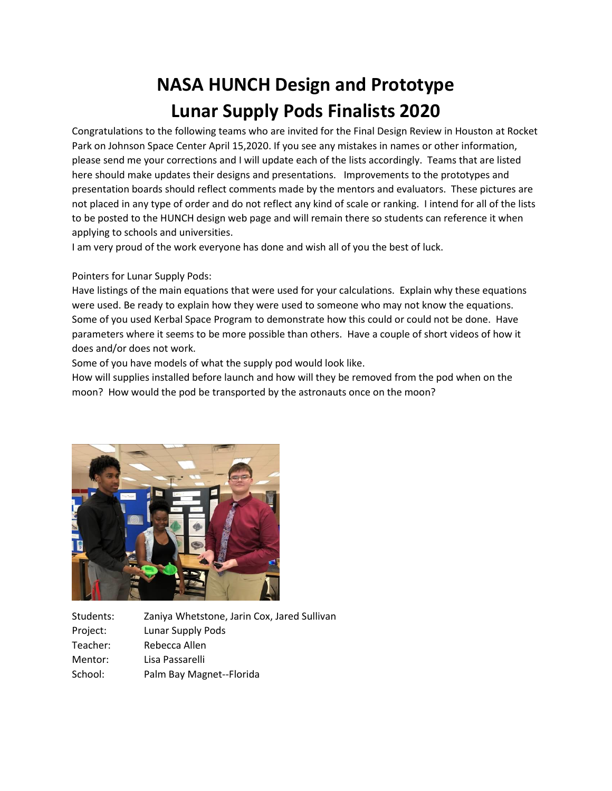## **NASA HUNCH Design and Prototype Lunar Supply Pods Finalists 2020**

Congratulations to the following teams who are invited for the Final Design Review in Houston at Rocket Park on Johnson Space Center April 15,2020. If you see any mistakes in names or other information, please send me your corrections and I will update each of the lists accordingly. Teams that are listed here should make updates their designs and presentations. Improvements to the prototypes and presentation boards should reflect comments made by the mentors and evaluators. These pictures are not placed in any type of order and do not reflect any kind of scale or ranking. I intend for all of the lists to be posted to the HUNCH design web page and will remain there so students can reference it when applying to schools and universities.

I am very proud of the work everyone has done and wish all of you the best of luck.

Pointers for Lunar Supply Pods:

Have listings of the main equations that were used for your calculations. Explain why these equations were used. Be ready to explain how they were used to someone who may not know the equations. Some of you used Kerbal Space Program to demonstrate how this could or could not be done. Have parameters where it seems to be more possible than others. Have a couple of short videos of how it does and/or does not work.

Some of you have models of what the supply pod would look like.

How will supplies installed before launch and how will they be removed from the pod when on the moon? How would the pod be transported by the astronauts once on the moon?



Students: Zaniya Whetstone, Jarin Cox, Jared Sullivan Project: Lunar Supply Pods Teacher: Rebecca Allen Mentor: Lisa Passarelli School: Palm Bay Magnet--Florida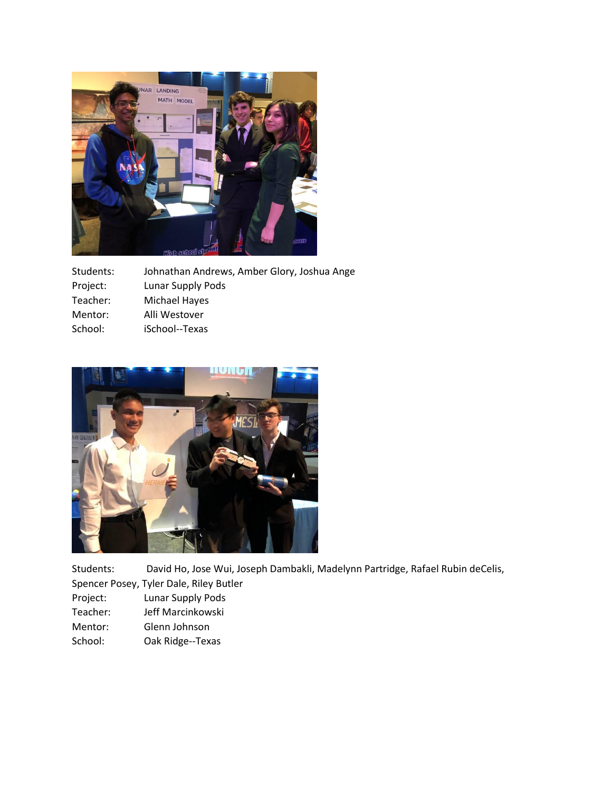

| Students: | Johnathan Andrews, Amber Glory, Joshua Ange |
|-----------|---------------------------------------------|
| Project:  | Lunar Supply Pods                           |
| Teacher:  | Michael Hayes                               |
| Mentor:   | Alli Westover                               |
| School:   | iSchool--Texas                              |



Students: David Ho, Jose Wui, Joseph Dambakli, Madelynn Partridge, Rafael Rubin deCelis,

Spencer Posey, Tyler Dale, Riley Butler

- Project: Lunar Supply Pods
- Teacher: Jeff Marcinkowski
- Mentor: Glenn Johnson
- School: Oak Ridge--Texas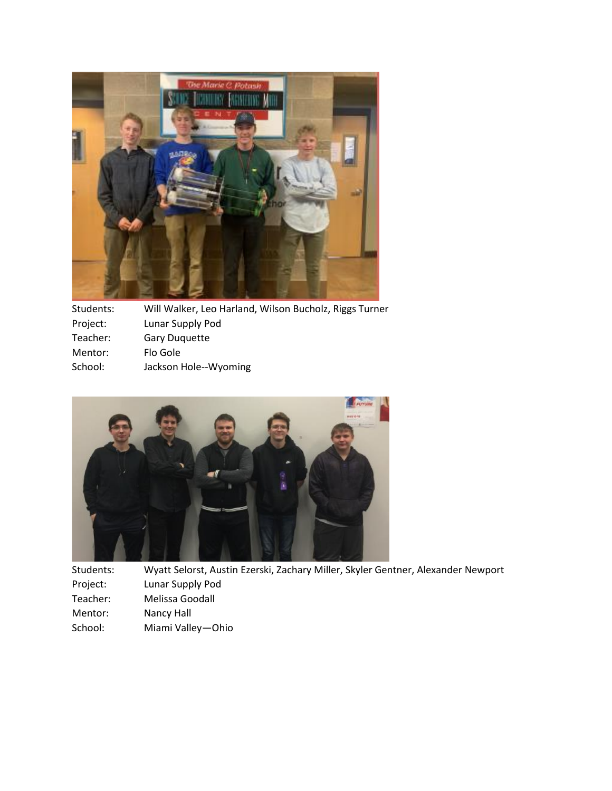

| Students: | Will Walker, Leo Harland, Wilson Bucholz, Riggs Turner |
|-----------|--------------------------------------------------------|
| Project:  | Lunar Supply Pod                                       |
| Teacher:  | <b>Gary Duguette</b>                                   |
| Mentor:   | Flo Gole                                               |
| School:   | Jackson Hole--Wyoming                                  |
|           |                                                        |



Students: Wyatt Selorst, Austin Ezerski, Zachary Miller, Skyler Gentner, Alexander Newport Project: Lunar Supply Pod Teacher: Melissa Goodall Mentor: Nancy Hall<br>School: Miami Valle Miami Valley—Ohio